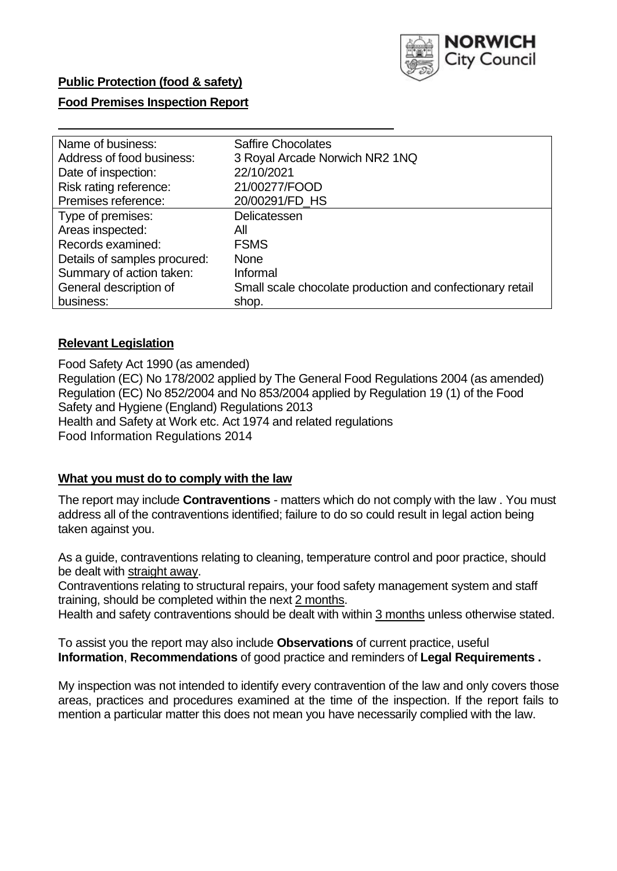

### **Public Protection (food & safety)**

#### **Food Premises Inspection Report**

| Name of business:            | <b>Saffire Chocolates</b>                                 |
|------------------------------|-----------------------------------------------------------|
| Address of food business:    | 3 Royal Arcade Norwich NR2 1NQ                            |
| Date of inspection:          | 22/10/2021                                                |
| Risk rating reference:       | 21/00277/FOOD                                             |
| Premises reference:          | 20/00291/FD_HS                                            |
| Type of premises:            | Delicatessen                                              |
| Areas inspected:             | All                                                       |
| Records examined:            | <b>FSMS</b>                                               |
| Details of samples procured: | <b>None</b>                                               |
| Summary of action taken:     | Informal                                                  |
| General description of       | Small scale chocolate production and confectionary retail |
| business:                    | shop.                                                     |

#### **Relevant Legislation**

Food Safety Act 1990 (as amended) Regulation (EC) No 178/2002 applied by The General Food Regulations 2004 (as amended) Regulation (EC) No 852/2004 and No 853/2004 applied by Regulation 19 (1) of the Food Safety and Hygiene (England) Regulations 2013 Health and Safety at Work etc. Act 1974 and related regulations Food Information Regulations 2014

#### **What you must do to comply with the law**

The report may include **Contraventions** - matters which do not comply with the law . You must address all of the contraventions identified; failure to do so could result in legal action being taken against you.

As a guide, contraventions relating to cleaning, temperature control and poor practice, should be dealt with straight away.

Contraventions relating to structural repairs, your food safety management system and staff training, should be completed within the next 2 months.

Health and safety contraventions should be dealt with within 3 months unless otherwise stated.

To assist you the report may also include **Observations** of current practice, useful **Information**, **Recommendations** of good practice and reminders of **Legal Requirements .** 

My inspection was not intended to identify every contravention of the law and only covers those areas, practices and procedures examined at the time of the inspection. If the report fails to mention a particular matter this does not mean you have necessarily complied with the law.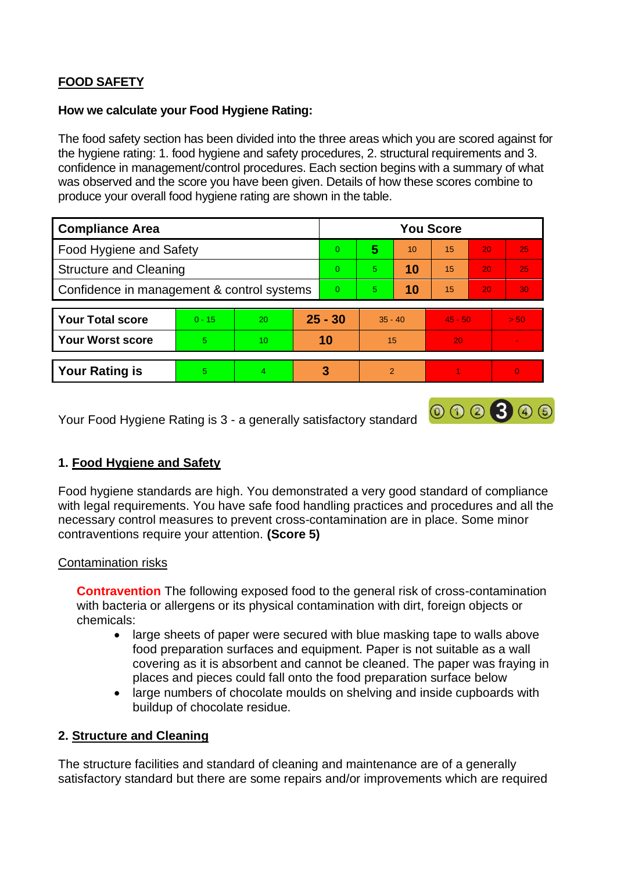# **FOOD SAFETY**

#### **How we calculate your Food Hygiene Rating:**

The food safety section has been divided into the three areas which you are scored against for the hygiene rating: 1. food hygiene and safety procedures, 2. structural requirements and 3. confidence in management/control procedures. Each section begins with a summary of what was observed and the score you have been given. Details of how these scores combine to produce your overall food hygiene rating are shown in the table.

| <b>Compliance Area</b>                     |          |    |           | <b>You Score</b> |                |    |           |    |          |  |  |
|--------------------------------------------|----------|----|-----------|------------------|----------------|----|-----------|----|----------|--|--|
| Food Hygiene and Safety                    |          |    |           | $\Omega$         | 5              | 10 | 15        | 20 | 25       |  |  |
| <b>Structure and Cleaning</b>              |          |    | $\Omega$  | 5                | 10             | 15 | 20        | 25 |          |  |  |
| Confidence in management & control systems |          |    | $\Omega$  | 5                | 10             | 15 | 20        | 30 |          |  |  |
|                                            |          |    |           |                  |                |    |           |    |          |  |  |
| <b>Your Total score</b>                    | $0 - 15$ | 20 | $25 - 30$ |                  | $35 - 40$      |    | $45 - 50$ |    | > 50     |  |  |
| <b>Your Worst score</b>                    | 5        | 10 | 10        |                  | 15             |    | 20        |    |          |  |  |
|                                            |          |    |           |                  |                |    |           |    |          |  |  |
| <b>Your Rating is</b>                      | 5        | 4  |           | 3                | $\overline{2}$ |    |           |    | $\Omega$ |  |  |

Your Food Hygiene Rating is 3 - a generally satisfactory standard

# **1. Food Hygiene and Safety**

Food hygiene standards are high. You demonstrated a very good standard of compliance with legal requirements. You have safe food handling practices and procedures and all the necessary control measures to prevent cross-contamination are in place. Some minor contraventions require your attention. **(Score 5)** 

000300

#### Contamination risks

**Contravention** The following exposed food to the general risk of cross-contamination with bacteria or allergens or its physical contamination with dirt, foreign objects or chemicals:

- large sheets of paper were secured with blue masking tape to walls above food preparation surfaces and equipment. Paper is not suitable as a wall covering as it is absorbent and cannot be cleaned. The paper was fraying in places and pieces could fall onto the food preparation surface below
- large numbers of chocolate moulds on shelving and inside cupboards with buildup of chocolate residue.

# **2. Structure and Cleaning**

The structure facilities and standard of cleaning and maintenance are of a generally satisfactory standard but there are some repairs and/or improvements which are required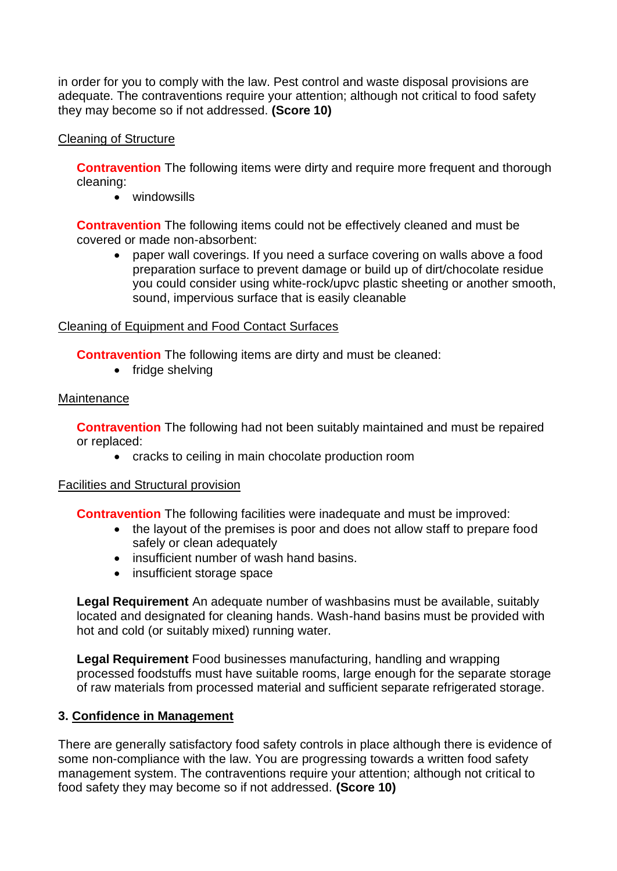in order for you to comply with the law. Pest control and waste disposal provisions are adequate. The contraventions require your attention; although not critical to food safety they may become so if not addressed. **(Score 10)** 

## Cleaning of Structure

**Contravention** The following items were dirty and require more frequent and thorough cleaning:

• windowsills

**Contravention** The following items could not be effectively cleaned and must be covered or made non-absorbent:

• paper wall coverings. If you need a surface covering on walls above a food preparation surface to prevent damage or build up of dirt/chocolate residue you could consider using white-rock/upvc plastic sheeting or another smooth, sound, impervious surface that is easily cleanable

## Cleaning of Equipment and Food Contact Surfaces

**Contravention** The following items are dirty and must be cleaned:

• fridge shelving

#### **Maintenance**

**Contravention** The following had not been suitably maintained and must be repaired or replaced:

• cracks to ceiling in main chocolate production room

#### Facilities and Structural provision

**Contravention** The following facilities were inadequate and must be improved:

- the layout of the premises is poor and does not allow staff to prepare food safely or clean adequately
- insufficient number of wash hand basins.
- insufficient storage space

**Legal Requirement** An adequate number of washbasins must be available, suitably located and designated for cleaning hands. Wash-hand basins must be provided with hot and cold (or suitably mixed) running water.

**Legal Requirement** Food businesses manufacturing, handling and wrapping processed foodstuffs must have suitable rooms, large enough for the separate storage of raw materials from processed material and sufficient separate refrigerated storage.

#### **3. Confidence in Management**

There are generally satisfactory food safety controls in place although there is evidence of some non-compliance with the law. You are progressing towards a written food safety management system. The contraventions require your attention; although not critical to food safety they may become so if not addressed. **(Score 10)**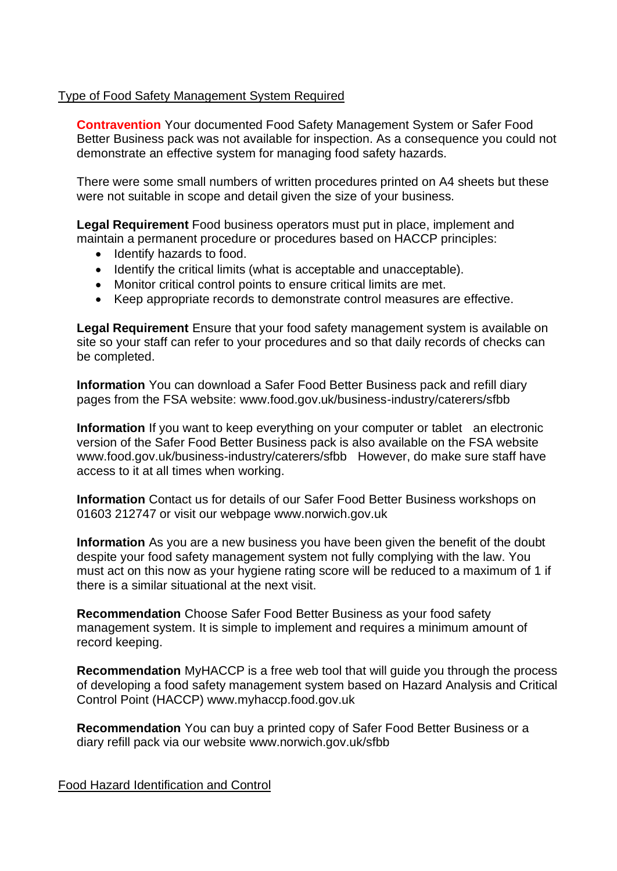#### Type of Food Safety Management System Required

**Contravention** Your documented Food Safety Management System or Safer Food Better Business pack was not available for inspection. As a consequence you could not demonstrate an effective system for managing food safety hazards.

There were some small numbers of written procedures printed on A4 sheets but these were not suitable in scope and detail given the size of your business.

**Legal Requirement** Food business operators must put in place, implement and maintain a permanent procedure or procedures based on HACCP principles:

- Identify hazards to food.
- Identify the critical limits (what is acceptable and unacceptable).
- Monitor critical control points to ensure critical limits are met.
- Keep appropriate records to demonstrate control measures are effective.

**Legal Requirement** Ensure that your food safety management system is available on site so your staff can refer to your procedures and so that daily records of checks can be completed.

**Information** You can download a Safer Food Better Business pack and refill diary pages from the FSA website: <www.food.gov.uk/business-industry/caterers/sfbb>

**Information** If you want to keep everything on your computer or tablet an electronic version of the Safer Food Better Business pack is also available on the FSA website <www.food.gov.uk/business-industry/caterers/sfbb>However, do make sure staff have access to it at all times when working.

**Information** Contact us for details of our Safer Food Better Business workshops on 01603 212747 or visit our webpage <www.norwich.gov.uk>

**Information** As you are a new business you have been given the benefit of the doubt despite your food safety management system not fully complying with the law. You must act on this now as your hygiene rating score will be reduced to a maximum of 1 if there is a similar situational at the next visit.

**Recommendation** Choose Safer Food Better Business as your food safety management system. It is simple to implement and requires a minimum amount of record keeping.

**Recommendation** MyHACCP is a free web tool that will guide you through the process of developing a food safety management system based on Hazard Analysis and Critical Control Point (HACCP)<www.myhaccp.food.gov.uk>

**Recommendation** You can buy a printed copy of Safer Food Better Business or a diary refill pack via our website<www.norwich.gov.uk/sfbb>

Food Hazard Identification and Control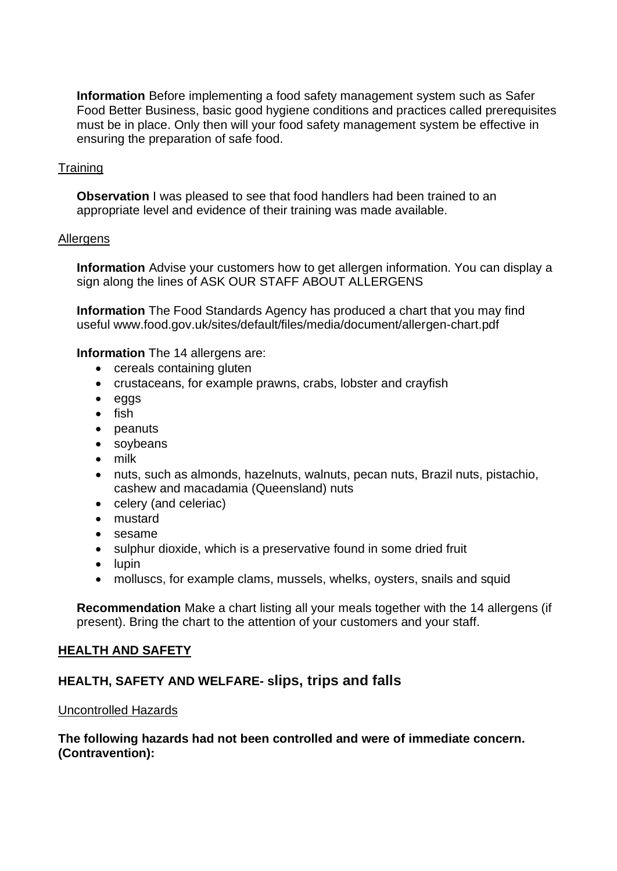**Information** Before implementing a food safety management system such as Safer Food Better Business, basic good hygiene conditions and practices called prerequisites must be in place. Only then will your food safety management system be effective in ensuring the preparation of safe food.

## **Training**

**Observation** I was pleased to see that food handlers had been trained to an appropriate level and evidence of their training was made available.

#### **Allergens**

**Information** Advise your customers how to get allergen information. You can display a sign along the lines of ASK OUR STAFF ABOUT ALLERGENS

**Information** The Food Standards Agency has produced a chart that you may find useful <www.food.gov.uk/sites/default/files/media/document/allergen-chart.pdf>

**Information** The 14 allergens are:

- cereals containing gluten
- crustaceans, for example prawns, crabs, lobster and crayfish
- eggs
- fish
- peanuts
- soybeans
- milk
- nuts, such as almonds, hazelnuts, walnuts, pecan nuts, Brazil nuts, pistachio, cashew and macadamia (Queensland) nuts
- celery (and celeriac)
- mustard
- sesame
- sulphur dioxide, which is a preservative found in some dried fruit
- lupin
- molluscs, for example clams, mussels, whelks, oysters, snails and squid

**Recommendation** Make a chart listing all your meals together with the 14 allergens (if present). Bring the chart to the attention of your customers and your staff.

#### **HEALTH AND SAFETY**

# **HEALTH, SAFETY AND WELFARE- slips, trips and falls**

#### Uncontrolled Hazards

#### **The following hazards had not been controlled and were of immediate concern. (Contravention):**